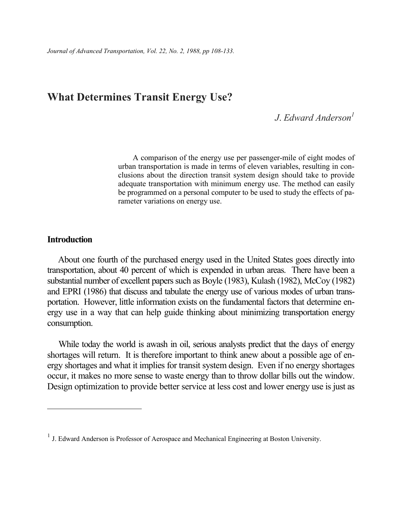# What Determines Transit Energy Use?

## J. Edward Anderson<sup>1</sup>

A comparison of the energy use per passenger-mile of eight modes of urban transportation is made in terms of eleven variables, resulting in conclusions about the direction transit system design should take to provide adequate transportation with minimum energy use. The method can easily be programmed on a personal computer to be used to study the effects of parameter variations on energy use.

## **Introduction**

-

About one fourth of the purchased energy used in the United States goes directly into transportation, about 40 percent of which is expended in urban areas. There have been a substantial number of excellent papers such as Boyle (1983), Kulash (1982), McCoy (1982) and EPRI (1986) that discuss and tabulate the energy use of various modes of urban transportation. However, little information exists on the fundamental factors that determine energy use in a way that can help guide thinking about minimizing transportation energy consumption.

While today the world is awash in oil, serious analysts predict that the days of energy shortages will return. It is therefore important to think anew about a possible age of energy shortages and what it implies for transit system design. Even if no energy shortages occur, it makes no more sense to waste energy than to throw dollar bills out the window. Design optimization to provide better service at less cost and lower energy use is just as

<sup>&</sup>lt;sup>1</sup> J. Edward Anderson is Professor of Aerospace and Mechanical Engineering at Boston University.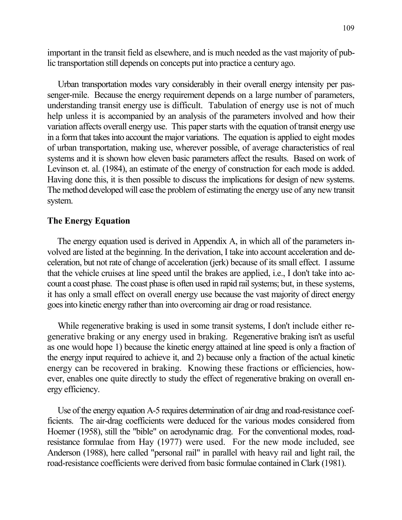important in the transit field as elsewhere, and is much needed as the vast majority of public transportation still depends on concepts put into practice a century ago.

Urban transportation modes vary considerably in their overall energy intensity per passenger-mile. Because the energy requirement depends on a large number of parameters, understanding transit energy use is difficult. Tabulation of energy use is not of much help unless it is accompanied by an analysis of the parameters involved and how their variation affects overall energy use. This paper starts with the equation of transit energy use in a form that takes into account the major variations. The equation is applied to eight modes of urban transportation, making use, wherever possible, of average characteristics of real systems and it is shown how eleven basic parameters affect the results. Based on work of Levinson et. al. (1984), an estimate of the energy of construction for each mode is added. Having done this, it is then possible to discuss the implications for design of new systems. The method developed will ease the problem of estimating the energy use of any new transit system.

### The Energy Equation

The energy equation used is derived in Appendix A, in which all of the parameters involved are listed at the beginning. In the derivation, I take into account acceleration and deceleration, but not rate of change of acceleration (jerk) because of its small effect. I assume that the vehicle cruises at line speed until the brakes are applied, i.e., I don't take into account a coast phase. The coast phase is often used in rapid rail systems; but, in these systems, it has only a small effect on overall energy use because the vast majority of direct energy goes into kinetic energy rather than into overcoming air drag or road resistance.

While regenerative braking is used in some transit systems, I don't include either regenerative braking or any energy used in braking. Regenerative braking isn't as useful as one would hope 1) because the kinetic energy attained at line speed is only a fraction of the energy input required to achieve it, and 2) because only a fraction of the actual kinetic energy can be recovered in braking. Knowing these fractions or efficiencies, however, enables one quite directly to study the effect of regenerative braking on overall energy efficiency.

Use of the energy equation A-5 requires determination of air drag and road-resistance coefficients. The air-drag coefficients were deduced for the various modes considered from Hoemer (1958), still the "bible" on aerodynamic drag. For the conventional modes, roadresistance formulae from Hay (1977) were used. For the new mode included, see Anderson (1988), here called "personal rail" in parallel with heavy rail and light rail, the road-resistance coefficients were derived from basic formulae contained in Clark (1981).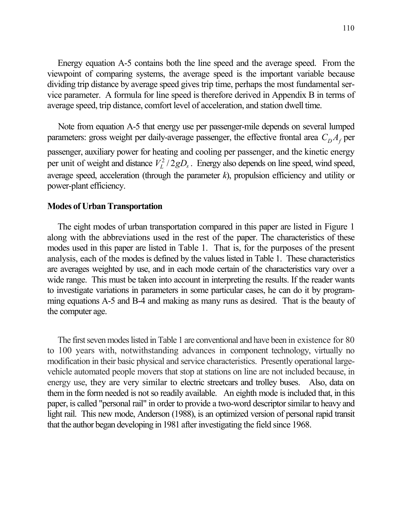Energy equation A-5 contains both the line speed and the average speed. From the viewpoint of comparing systems, the average speed is the important variable because dividing trip distance by average speed gives trip time, perhaps the most fundamental service parameter. A formula for line speed is therefore derived in Appendix B in terms of average speed, trip distance, comfort level of acceleration, and station dwell time.

Note from equation A-5 that energy use per passenger-mile depends on several lumped parameters: gross weight per daily-average passenger, the effective frontal area  $C_D A_f$  per passenger, auxiliary power for heating and cooling per passenger, and the kinetic energy per unit of weight and distance  $V_L^2/2gD_s$ . Energy also depends on line speed, wind speed, average speed, acceleration (through the parameter  $k$ ), propulsion efficiency and utility or power-plant efficiency.

### Modes of Urban Transportation

The eight modes of urban transportation compared in this paper are listed in Figure 1 along with the abbreviations used in the rest of the paper. The characteristics of these modes used in this paper are listed in Table 1. That is, for the purposes of the present analysis, each of the modes is defined by the values listed in Table 1. These characteristics are averages weighted by use, and in each mode certain of the characteristics vary over a wide range. This must be taken into account in interpreting the results. If the reader wants to investigate variations in parameters in some particular cases, he can do it by programming equations A-5 and B-4 and making as many runs as desired. That is the beauty of the computer age.

The first seven modes listed in Table 1 are conventional and have been in existence for 80 to 100 years with, notwithstanding advances in component technology, virtually no modification in their basic physical and service characteristics. Presently operational largevehicle automated people movers that stop at stations on line are not included because, in energy use, they are very similar to electric streetcars and trolley buses. Also, data on them in the form needed is not so readily available. An eighth mode is included that, in this paper, is called "personal rail" in order to provide a two-word descriptor similar to heavy and light rail. This new mode, Anderson (1988), is an optimized version of personal rapid transit that the author began developing in 1981 after investigating the field since 1968.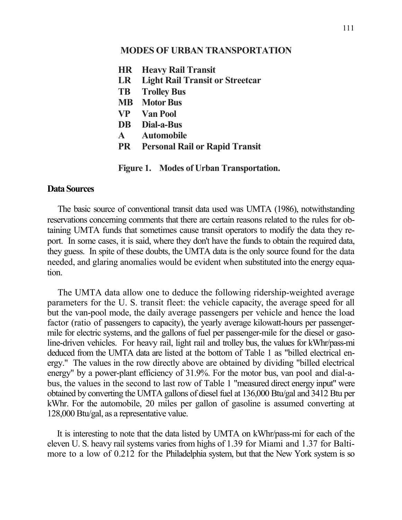### MODES OF URBAN TRANSPORTATION

HR Heavy Rail Transit LR Light Rail Transit or Streetcar TB Trolley Bus MB Motor Bus VP Van Pool DB Dial-a-Bus A Automobile

PR Personal Rail or Rapid Transit

Figure 1. Modes of Urban Transportation.

### Data Sources

The basic source of conventional transit data used was UMTA (1986), notwithstanding reservations concerning comments that there are certain reasons related to the rules for obtaining UMTA funds that sometimes cause transit operators to modify the data they report. In some cases, it is said, where they don't have the funds to obtain the required data, they guess. In spite of these doubts, the UMTA data is the only source found for the data needed, and glaring anomalies would be evident when substituted into the energy equation.

The UMTA data allow one to deduce the following ridership-weighted average parameters for the U. S. transit fleet: the vehicle capacity, the average speed for all but the van-pool mode, the daily average passengers per vehicle and hence the load factor (ratio of passengers to capacity), the yearly average kilowatt-hours per passengermile for electric systems, and the gallons of fuel per passenger-mile for the diesel or gasoline-driven vehicles. For heavy rail, light rail and trolley bus, the values for kWhr/pass-mi deduced from the UMTA data are listed at the bottom of Table 1 as "billed electrical energy." The values in the row directly above are obtained by dividing "billed electrical energy" by a power-plant efficiency of 31.9%. For the motor bus, van pool and dial-abus, the values in the second to last row of Table 1 "measured direct energy input" were obtained by converting the UMTA gallons of diesel fuel at 136,000 Btu/gal and 3412 Btu per kWhr. For the automobile, 20 miles per gallon of gasoline is assumed converting at 128,000 Btu/gal, as a representative value.

It is interesting to note that the data listed by UMTA on kWhr/pass-mi for each of the eleven U. S. heavy rail systems varies from highs of 1.39 for Miami and 1.37 for Baltimore to a low of 0.212 for the Philadelphia system, but that the New York system is so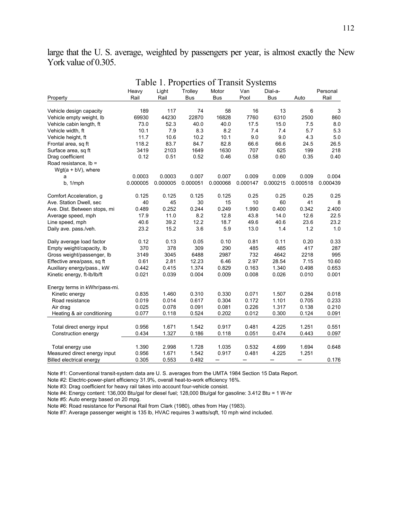large that the U. S. average, weighted by passengers per year, is almost exactly the New York value of 0.305.

|                                 |          |          | Table 1. Properties of Transit Systems |            |          |            |          |                           |  |
|---------------------------------|----------|----------|----------------------------------------|------------|----------|------------|----------|---------------------------|--|
|                                 | Heavy    | Light    | Trolley                                | Motor      | Van      | Dial-a-    |          | Personal                  |  |
| Property                        | Rail     | Rail     | Bus                                    | <b>Bus</b> | Pool     | <b>Bus</b> | Auto     | Rail                      |  |
| Vehicle design capacity         | 189      | 117      | 74                                     | 58         | 16       | 13         | 6        | $\ensuremath{\mathsf{3}}$ |  |
| Vehicle empty weight, Ib        | 69930    | 44230    | 22870                                  | 16828      | 7760     | 6310       | 2500     | 860                       |  |
| Vehicle cabin length, ft        | 73.0     | 52.3     | 40.0                                   | 40.0       | 17.5     | 15.0       | 7.5      | 8.0                       |  |
| Vehicle width, ft               | 10.1     | 7.9      | 8.3                                    | 8.2        | 7.4      | 7.4        | 5.7      | 5.3                       |  |
| Vehicle height, ft              | 11.7     | 10.6     | 10.2                                   | 10.1       | 9.0      | 9.0        | 4.3      | 5.0                       |  |
| Frontal area, sq ft             | 118.2    | 83.7     | 84.7                                   | 82.8       | 66.6     | 66.6       | 24.5     | 26.5                      |  |
| Surface area, sq ft             | 3419     | 2103     | 1649                                   | 1630       | 707      | 625        | 199      | 218                       |  |
| Drag coefficient                | 0.12     | 0.51     | 0.52                                   | 0.46       | 0.58     | 0.60       | 0.35     | 0.40                      |  |
| Road resistance, lb =           |          |          |                                        |            |          |            |          |                           |  |
| $Wgt(a + bV)$ , where           |          |          |                                        |            |          |            |          |                           |  |
| a                               | 0.0003   | 0.0003   | 0.007                                  | 0.007      | 0.009    | 0.009      | 0.009    | 0.004                     |  |
| b, 1/mph                        | 0.000005 | 0.000005 | 0.000051                               | 0.000068   | 0.000147 | 0.000215   | 0.000518 | 0.000439                  |  |
|                                 |          |          |                                        |            |          |            |          |                           |  |
| Comfort Acceleration, g         | 0.125    | 0.125    | 0.125                                  | 0.125      | 0.25     | 0.25       | 0.25     | 0.25                      |  |
| Ave. Station Dwell, sec         | 40       | 45       | 30                                     | 15         | 10       | 60         | 41       | 8                         |  |
| Ave. Dist. Between stops, mi    | 0.489    | 0.252    | 0.244                                  | 0.249      | 1.990    | 0.400      | 0.342    | 2.400                     |  |
| Average speed, mph              | 17.9     | 11.0     | 8.2                                    | 12.8       | 43.8     | 14.0       | 12.6     | 22.5                      |  |
| Line speed, mph                 | 40.6     | 39.2     | 12.2                                   | 18.7       | 49.6     | 40.6       | 23.6     | 23.2                      |  |
| Daily ave. pass./veh.           | 23.2     | 15.2     | 3.6                                    | 5.9        | 13.0     | 1.4        | 1.2      | 1.0                       |  |
| Daily average load factor       | 0.12     | 0.13     | 0.05                                   | 0.10       | 0.81     | 0.11       | 0.20     | 0.33                      |  |
| Empty weight/capacity, Ib       | 370      | 378      | 309                                    | 290        | 485      | 485        | 417      | 287                       |  |
| Gross weight/passenger, lb      | 3149     | 3045     | 6488                                   | 2987       | 732      | 4642       | 2218     | 995                       |  |
| Effective area/pass, sq ft      | 0.61     | 2.81     | 12.23                                  | 6.46       | 2.97     | 28.54      | 7.15     | 10.60                     |  |
| Auxiliary energy/pass., kW      | 0.442    | 0.415    | 1.374                                  | 0.829      | 0.163    | 1.340      | 0.498    | 0.653                     |  |
| Kinetic energy, ft-lb/lb/ft     | 0.021    | 0.039    | 0.004                                  | 0.009      | 0.008    | 0.026      | 0.010    | 0.001                     |  |
| Energy terms in kWhr/pass-mi.   |          |          |                                        |            |          |            |          |                           |  |
| Kinetic energy                  | 0.835    | 1.460    | 0.310                                  | 0.330      | 0.071    | 1.507      | 0.284    | 0.018                     |  |
| Road resistance                 | 0.019    | 0.014    | 0.617                                  | 0.304      | 0.172    | 1.101      | 0.705    | 0.233                     |  |
| Air drag                        | 0.025    | 0.078    | 0.091                                  | 0.081      | 0.226    | 1.317      | 0.138    | 0.210                     |  |
| Heating & air conditioning      | 0.077    | 0.118    | 0.524                                  | 0.202      | 0.012    | 0.300      | 0.124    | 0.091                     |  |
|                                 |          |          |                                        |            |          |            |          |                           |  |
| Total direct energy input       | 0.956    | 1.671    | 1.542                                  | 0.917      | 0.481    | 4.225      | 1.251    | 0.551                     |  |
| Construction energy             | 0.434    | 1.327    | 0.186                                  | 0.118      | 0.051    | 0.474      | 0.443    | 0.097                     |  |
|                                 |          |          |                                        |            |          |            |          |                           |  |
| Total energy use                | 1.390    | 2.998    | 1.728                                  | 1.035      | 0.532    | 4.699      | 1.694    | 0.648                     |  |
| Measured direct energy input    | 0.956    | 1.671    | 1.542                                  | 0.917      | 0.481    | 4.225      | 1.251    |                           |  |
| <b>Billed electrical energy</b> | 0.305    | 0.553    | 0.492                                  |            |          |            |          | 0.176                     |  |

Table 1. Properties of Transit Systems

Note #1: Conventional transit-system data are U. S. averages from the UMTA 1984 Section 15 Data Report.

Note #2: Electric-power-plant efficiency 31.9%, overall heat-to-work efficiency 16%.

Note #3: Drag coefficient for heavy rail takes into account four-vehicle consist.

Note #4: Energy content: 136,000 Btu/gal for diesel fuel; 128,000 Btu/gal for gasoline: 3.412 Btu = 1 W-hr

Note #5: Auto energy based on 20 mpg.

Note #6: Road resistance for Personal Rail from Clark (1980), othes from Hay (1983).

Note #7: Average passenger weight is 135 lb, HVAC requires 3 watts/sqft, 10 mph wind included.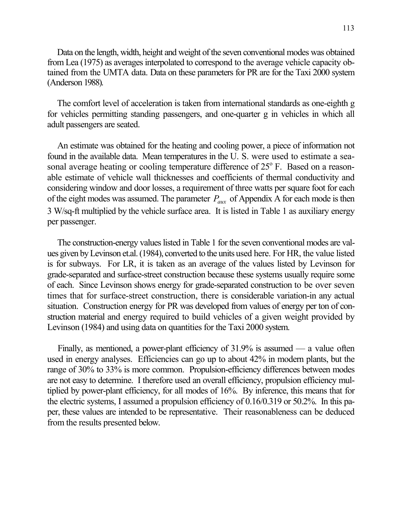Data on the length, width, height and weight of the seven conventional modes was obtained from Lea (1975) as averages interpolated to correspond to the average vehicle capacity obtained from the UMTA data. Data on these parameters for PR are for the Taxi 2000 system (Anderson 1988).

The comfort level of acceleration is taken from international standards as one-eighth g for vehicles permitting standing passengers, and one-quarter g in vehicles in which all adult passengers are seated.

An estimate was obtained for the heating and cooling power, a piece of information not found in the available data. Mean temperatures in the U. S. were used to estimate a seasonal average heating or cooling temperature difference of  $25^{\circ}$  F. Based on a reasonable estimate of vehicle wall thicknesses and coefficients of thermal conductivity and considering window and door losses, a requirement of three watts per square foot for each of the eight modes was assumed. The parameter  $P_{aux}$  of Appendix A for each mode is then 3 W/sq-ft multiplied by the vehicle surface area. It is listed in Table 1 as auxiliary energy per passenger.

The construction-energy values listed in Table 1 for the seven conventional modes are values given by Levinson et.al. (1984), converted to the units used here. For HR, the value listed is for subways. For LR, it is taken as an average of the values listed by Levinson for grade-separated and surface-street construction because these systems usually require some of each. Since Levinson shows energy for grade-separated construction to be over seven times that for surface-street construction, there is considerable variation-in any actual situation. Construction energy for PR was developed from values of energy per ton of construction material and energy required to build vehicles of a given weight provided by Levinson (1984) and using data on quantities for the Taxi 2000 system.

Finally, as mentioned, a power-plant efficiency of 31.9% is assumed — a value often used in energy analyses. Efficiencies can go up to about 42% in modern plants, but the range of 30% to 33% is more common. Propulsion-efficiency differences between modes are not easy to determine. I therefore used an overall efficiency, propulsion efficiency multiplied by power-plant efficiency, for all modes of 16%. By inference, this means that for the electric systems, I assumed a propulsion efficiency of 0.16/0.319 or 50.2%. In this paper, these values are intended to be representative. Their reasonableness can be deduced from the results presented below.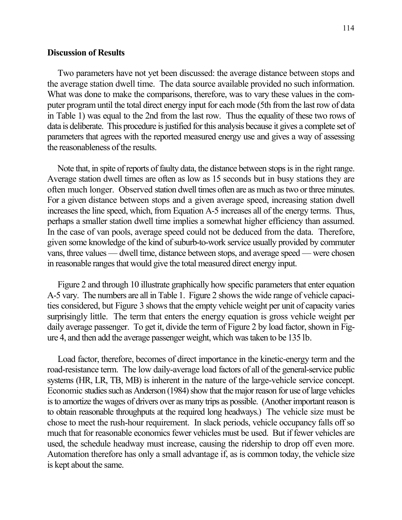### Discussion of Results

Two parameters have not yet been discussed: the average distance between stops and the average station dwell time. The data source available provided no such information. What was done to make the comparisons, therefore, was to vary these values in the computer program until the total direct energy input for each mode (5th from the last row of data in Table 1) was equal to the 2nd from the last row. Thus the equality of these two rows of data is deliberate. This procedure is justified for this analysis because it gives a complete set of parameters that agrees with the reported measured energy use and gives a way of assessing the reasonableness of the results.

Note that, in spite of reports of faulty data, the distance between stops is in the right range. Average station dwell times are often as low as 15 seconds but in busy stations they are often much longer. Observed station dwell times often are as much as two or three minutes. For a given distance between stops and a given average speed, increasing station dwell increases the line speed, which, from Equation A-5 increases all of the energy terms. Thus, perhaps a smaller station dwell time implies a somewhat higher efficiency than assumed. In the case of van pools, average speed could not be deduced from the data. Therefore, given some knowledge of the kind of suburb-to-work service usually provided by commuter vans, three values — dwell time, distance between stops, and average speed — were chosen in reasonable ranges that would give the total measured direct energy input.

Figure 2 and through 10 illustrate graphically how specific parameters that enter equation A-5 vary. The numbers are all in Table 1. Figure 2 shows the wide range of vehicle capacities considered, but Figure 3 shows that the empty vehicle weight per unit of capacity varies surprisingly little. The term that enters the energy equation is gross vehicle weight per daily average passenger. To get it, divide the term of Figure 2 by load factor, shown in Figure 4, and then add the average passenger weight, which was taken to be 135 lb.

Load factor, therefore, becomes of direct importance in the kinetic-energy term and the road-resistance term. The low daily-average load factors of all of the general-service public systems (HR, LR, TB, MB) is inherent in the nature of the large-vehicle service concept. Economic studies such as Anderson (1984) show that the major reason for use of large vehicles is to amortize the wages of drivers over as many trips as possible. (Another important reason is to obtain reasonable throughputs at the required long headways.) The vehicle size must be chose to meet the rush-hour requirement. In slack periods, vehicle occupancy falls off so much that for reasonable economics fewer vehicles must be used. But if fewer vehicles are used, the schedule headway must increase, causing the ridership to drop off even more. Automation therefore has only a small advantage if, as is common today, the vehicle size is kept about the same.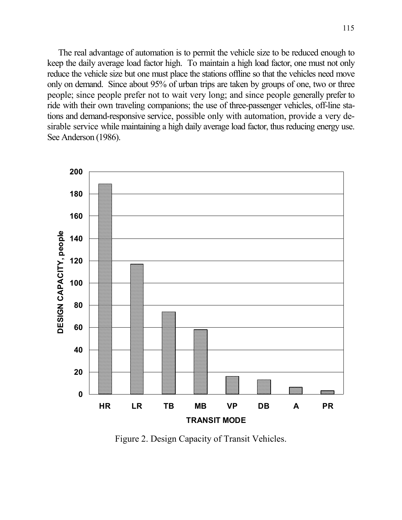The real advantage of automation is to permit the vehicle size to be reduced enough to keep the daily average load factor high. To maintain a high load factor, one must not only reduce the vehicle size but one must place the stations offline so that the vehicles need move only on demand. Since about 95% of urban trips are taken by groups of one, two or three people; since people prefer not to wait very long; and since people generally prefer to ride with their own traveling companions; the use of three-passenger vehicles, off-line stations and demand-responsive service, possible only with automation, provide a very desirable service while maintaining a high daily average load factor, thus reducing energy use. See Anderson (1986).



Figure 2. Design Capacity of Transit Vehicles.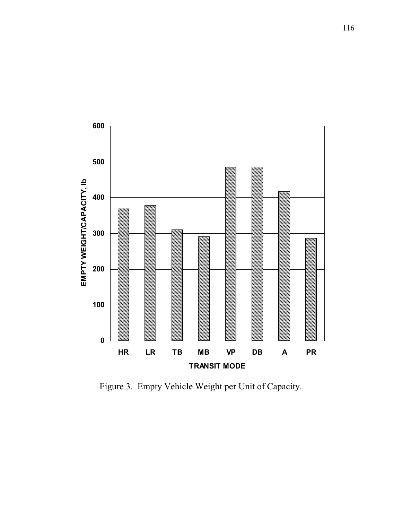

Figure 3. Empty Vehicle Weight per Unit of Capacity.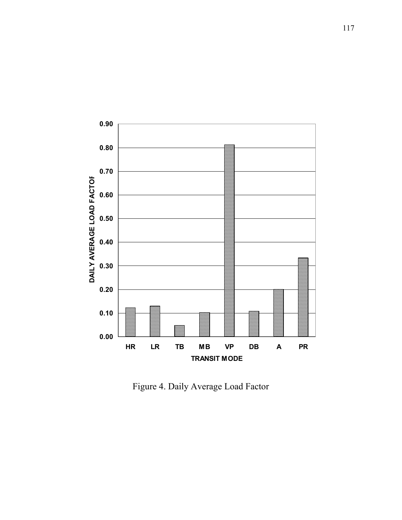

Figure 4. Daily Average Load Factor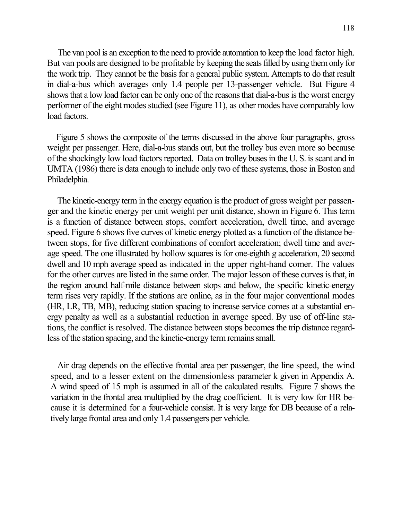118

 The van pool is an exception to the need to provide automation to keep the load factor high. But van pools are designed to be profitable by keeping the seats filled by using them only for the work trip. They cannot be the basis for a general public system. Attempts to do that result in dial-a-bus which averages only 1.4 people per 13-passenger vehicle. But Figure 4 shows that a low load factor can be only one of the reasons that dial-a-bus is the worst energy performer of the eight modes studied (see Figure 11), as other modes have comparably low load factors.

 Figure 5 shows the composite of the terms discussed in the above four paragraphs, gross weight per passenger. Here, dial-a-bus stands out, but the trolley bus even more so because of the shockingly low load factors reported. Data on trolley buses in the U. S. is scant and in UMTA (1986) there is data enough to include only two of these systems, those in Boston and Philadelphia.

The kinetic-energy term in the energy equation is the product of gross weight per passenger and the kinetic energy per unit weight per unit distance, shown in Figure 6. This term is a function of distance between stops, comfort acceleration, dwell time, and average speed. Figure 6 shows five curves of kinetic energy plotted as a function of the distance between stops, for five different combinations of comfort acceleration; dwell time and average speed. The one illustrated by hollow squares is for one-eighth g acceleration, 20 second dwell and 10 mph average speed as indicated in the upper right-hand comer. The values for the other curves are listed in the same order. The major lesson of these curves is that, in the region around half-mile distance between stops and below, the specific kinetic-energy term rises very rapidly. If the stations are online, as in the four major conventional modes (HR, LR, TB, MB), reducing station spacing to increase service comes at a substantial energy penalty as well as a substantial reduction in average speed. By use of off-line stations, the conflict is resolved. The distance between stops becomes the trip distance regardless of the station spacing, and the kinetic-energy term remains small.

Air drag depends on the effective frontal area per passenger, the line speed, the wind speed, and to a lesser extent on the dimensionless parameter k given in Appendix A. A wind speed of 15 mph is assumed in all of the calculated results. Figure 7 shows the variation in the frontal area multiplied by the drag coefficient. It is very low for HR because it is determined for a four-vehicle consist. It is very large for DB because of a relatively large frontal area and only 1.4 passengers per vehicle.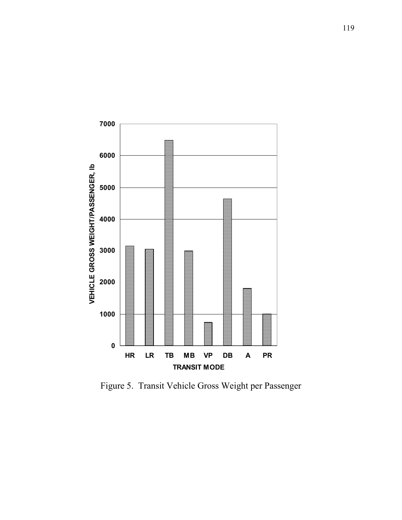

Figure 5. Transit Vehicle Gross Weight per Passenger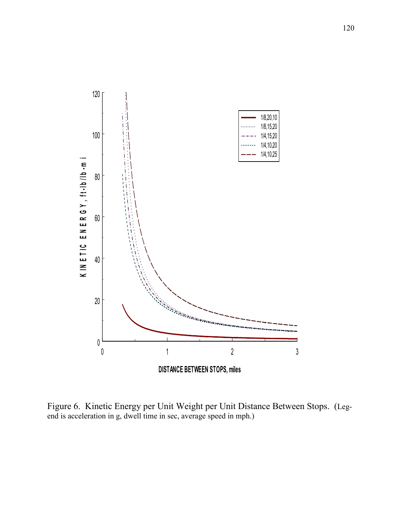

Figure 6. Kinetic Energy per Unit Weight per Unit Distance Between Stops. (Legend is acceleration in g, dwell time in sec, average speed in mph.)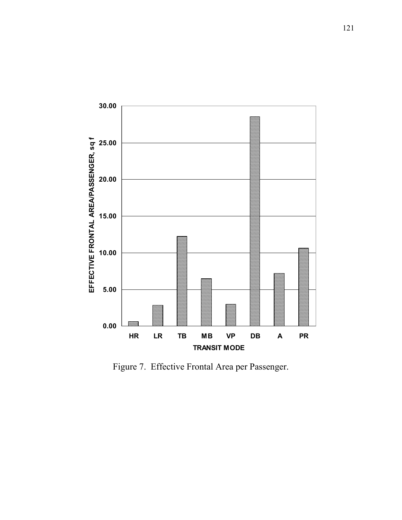

Figure 7. Effective Frontal Area per Passenger.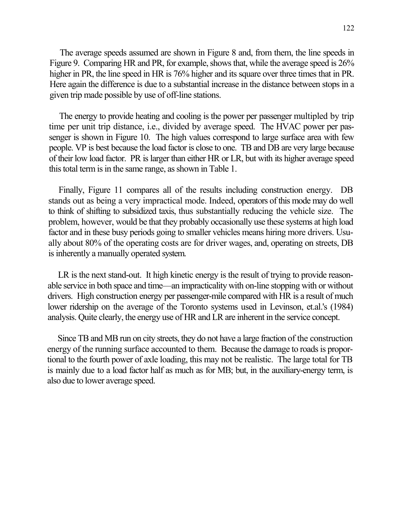The average speeds assumed are shown in Figure 8 and, from them, the line speeds in Figure 9. Comparing HR and PR, for example, shows that, while the average speed is 26% higher in PR, the line speed in HR is 76% higher and its square over three times that in PR. Here again the difference is due to a substantial increase in the distance between stops in a given trip made possible by use of off-line stations.

The energy to provide heating and cooling is the power per passenger multipled by trip time per unit trip distance, i.e., divided by average speed. The HVAC power per passenger is shown in Figure 10. The high values correspond to large surface area with few people. VP is best because the load factor is close to one. TB and DB are very large because of their low load factor. PR is larger than either HR or LR, but with its higher average speed this total term is in the same range, as shown in Table 1.

Finally, Figure 11 compares all of the results including construction energy. DB stands out as being a very impractical mode. Indeed, operators of this mode may do well to think of shifting to subsidized taxis, thus substantially reducing the vehicle size. The problem, however, would be that they probably occasionally use these systems at high load factor and in these busy periods going to smaller vehicles means hiring more drivers. Usually about 80% of the operating costs are for driver wages, and, operating on streets, DB is inherently a manually operated system.

LR is the next stand-out. It high kinetic energy is the result of trying to provide reasonable service in both space and time—an impracticality with on-line stopping with or without drivers. High construction energy per passenger-mile compared with HR is a result of much lower ridership on the average of the Toronto systems used in Levinson, et.al.'s (1984) analysis. Quite clearly, the energy use of HR and LR are inherent in the service concept.

Since TB and MB run on city streets, they do not have a large fraction of the construction energy of the running surface accounted to them. Because the damage to roads is proportional to the fourth power of axle loading, this may not be realistic. The large total for TB is mainly due to a load factor half as much as for MB; but, in the auxiliary-energy term, is also due to lower average speed.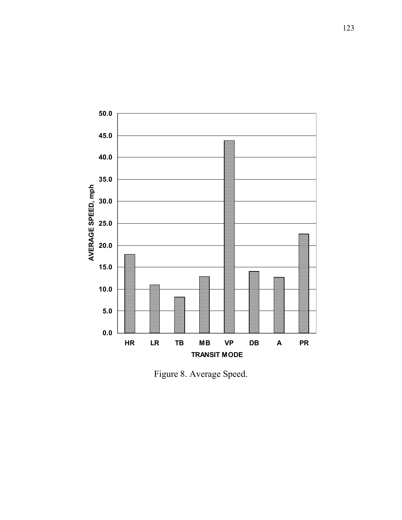

Figure 8. Average Speed.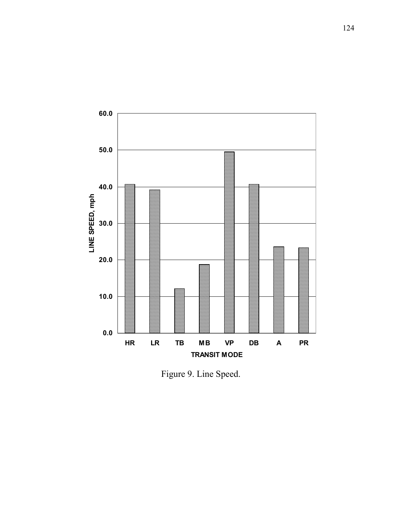

Figure 9. Line Speed.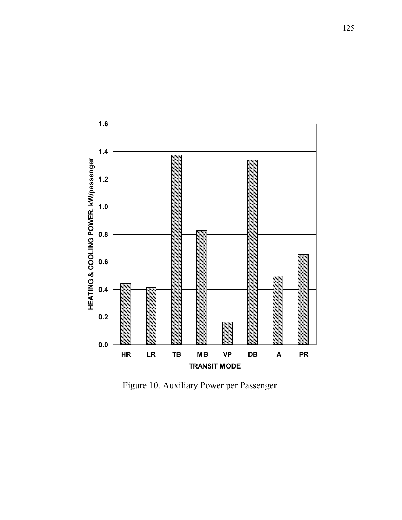

Figure 10. Auxiliary Power per Passenger.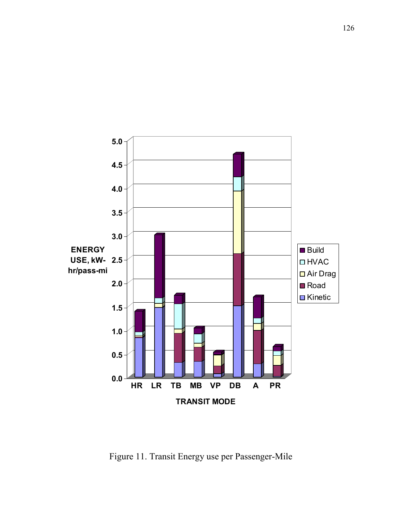

Figure 11. Transit Energy use per Passenger-Mile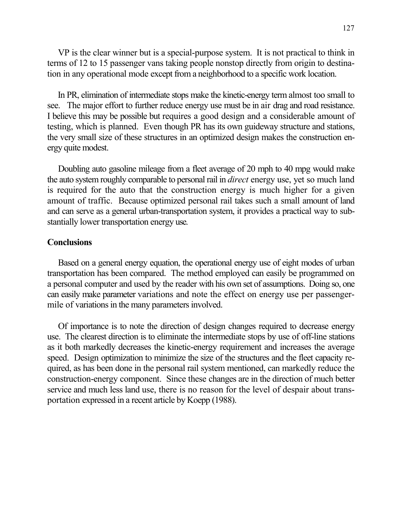VP is the clear winner but is a special-purpose system. It is not practical to think in terms of 12 to 15 passenger vans taking people nonstop directly from origin to destination in any operational mode except from a neighborhood to a specific work location.

In PR, elimination of intermediate stops make the kinetic-energy term almost too small to see. The major effort to further reduce energy use must be in air drag and road resistance. I believe this may be possible but requires a good design and a considerable amount of testing, which is planned. Even though PR has its own guideway structure and stations, the very small size of these structures in an optimized design makes the construction energy quite modest.

Doubling auto gasoline mileage from a fleet average of 20 mph to 40 mpg would make the auto system roughly comparable to personal rail in *direct* energy use, yet so much land is required for the auto that the construction energy is much higher for a given amount of traffic. Because optimized personal rail takes such a small amount of land and can serve as a general urban-transportation system, it provides a practical way to substantially lower transportation energy use.

### **Conclusions**

Based on a general energy equation, the operational energy use of eight modes of urban transportation has been compared. The method employed can easily be programmed on a personal computer and used by the reader with his own set of assumptions. Doing so, one can easily make parameter variations and note the effect on energy use per passengermile of variations in the many parameters involved.

Of importance is to note the direction of design changes required to decrease energy use. The clearest direction is to eliminate the intermediate stops by use of off-line stations as it both markedly decreases the kinetic-energy requirement and increases the average speed. Design optimization to minimize the size of the structures and the fleet capacity required, as has been done in the personal rail system mentioned, can markedly reduce the construction-energy component. Since these changes are in the direction of much better service and much less land use, there is no reason for the level of despair about transportation expressed in a recent article by Koepp (1988).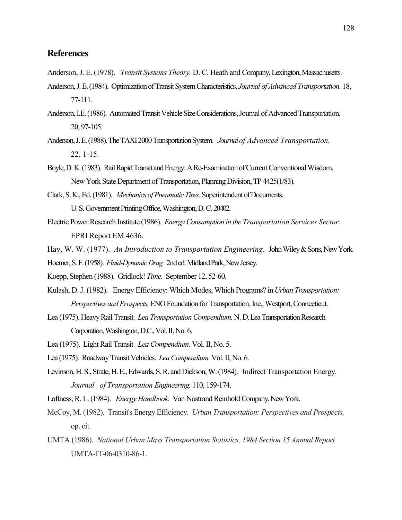## **References**

- Anderson, J. E. (1978). Transit Systems Theory. D. C. Heath and Company, Lexington, Massachusetts.
- Anderson, J. E. (1984). Optimization of Transit System Characteristics. Journal of Advanced Transportation. 18, 77-111.
- Anderson, I.E. (1986). Automated Transit Vehicle Size Considerations, Journal of Advanced Transportation. 20, 97-105.
- Anderson, J. E. (1988). The TAXI 2000 Transportation System. Journal of Advanced Transportation. 22, 1-15.
- Boyle, D. K. (1983). Rail Rapid Transit and Energy: A Re-Examination of Current Conventional Wisdom. New York State Department of Transportation, Planning Division, TP 4425(1/83).
- Clark, S. K., Ed. (1981). Mechanics of Pneumatic Tires. Superintendent of Documents, U. S. Government Printing Office, Washington, D. C. 20402.
- Electric Power Research Institute (1986). Energy Consumption in the Transportation Services Sector. EPRI Report EM 4636.
- Hay, W. W. (1977). An Introduction to Transportation Engineering. John Wiley & Sons, New York.
- Hoerner, S. F. (1958). Fluid-Dynamic Drag. 2nd ed. Midland Park, New Jersey.
- Koepp, Stephen (1988). Gridlock! Time. September 12, 52-60.
- Kulash, D. J. (1982). Energy Efficiency: Which Modes, Which Programs? in Urban Transportation: Perspectives and Prospects, ENO Foundation for Transportation, Inc., Westport, Connecticut.
- Lea (1975). Heavy Rail Transit. Lea Transportation Compendium. N. D. Lea Transportation Research Corporation, Washington, D.C., Vol. II, No. 6.
- Lea (1975). Light Rail Transit. Lea Compendium. Vol. II, No. 5.
- Lea (1975). Roadway Transit Vehicles. Lea Compendium. Vol. II, No. 6.
- Levinson, H. S., Strate, H. E., Edwards, S. R. and Dickson, W. (1984). Indirect Transportation Energy. Journal of Transportation Engineering. 110, 159-174.
- Loftness, R. L. (1984). Energy Handbook. Van Nostrand Reinhold Company, New York.
- McCoy, M. (1982). Transit's Energy Efficiency. Urban Transportation: Perspectives and Prospects, op. cit.
- UMTA (1986). National Urban Mass Transportation Statistics, 1984 Section 15 Annual Report. UMTA-IT-06-0310-86-1.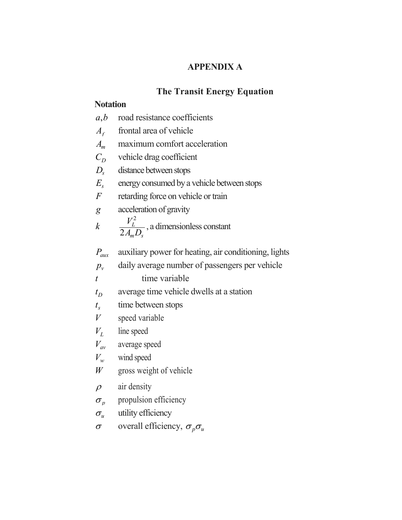# APPENDIX A

# The Transit Energy Equation

## **Notation**

- $A_{\epsilon}$ frontal area of vehicle
- $A_m$  maximum comfort acceleration
- $C_D$ vehicle drag coefficient
- $D_{s}$  distance between stops
- $E_{s}$ energy consumed by a vehicle between stops
- $F$  retarding force on vehicle or train
- g acceleration of gravity

$$
k \qquad \frac{V_L^2}{2A_m D_s}, \text{ a dimensionless constant}
$$

 $P_{\text{aux}}$  auxiliary power for heating, air conditioning, lights

 $p_{v}$  daily average number of passengers per vehicle

 $t$  time variable

- $t_D$ average time vehicle dwells at a station
- $t_{s}$ time between stops
- $V$  speed variable
- $V_L$ line speed
- $V_{av}$  average speed
- $V_w$  wind speed
- $W$  gross weight of vehicle
- $\rho$  air density
- $\sigma_{\scriptscriptstyle p}$ propulsion efficiency
- $\sigma_u$  utility efficiency
- $σ$  overall efficiency,  $σ<sub>p</sub>σ<sub>u</sub>$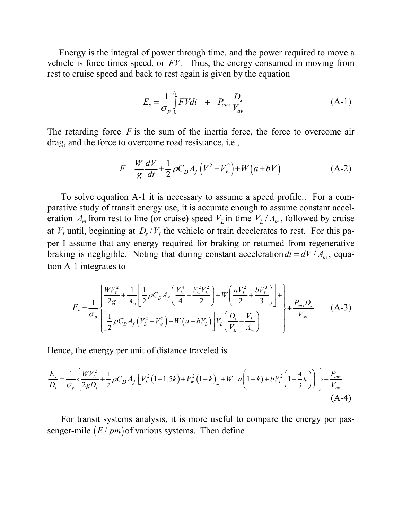Energy is the integral of power through time, and the power required to move a vehicle is force times speed, or  $FV$ . Thus, the energy consumed in moving from rest to cruise speed and back to rest again is given by the equation

$$
E_s = \frac{1}{\sigma_p} \int_0^{t_s} FV dt + P_{aux} \frac{D_s}{V_{av}}
$$
 (A-1)

The retarding force  $F$  is the sum of the inertia force, the force to overcome air drag, and the force to overcome road resistance, i.e.,

$$
F = \frac{W}{g} \frac{dV}{dt} + \frac{1}{2} \rho C_D A_f (V^2 + V_w^2) + W (a + bV)
$$
 (A-2)

 To solve equation A-1 it is necessary to assume a speed profile.. For a comparative study of transit energy use, it is accurate enough to assume constant acceleration  $A_m$  from rest to line (or cruise) speed  $V_L$  in time  $V_L / A_m$ , followed by cruise at  $V_L$  until, beginning at  $D_s/V_L$  the vehicle or train decelerates to rest. For this paper I assume that any energy required for braking or returned from regenerative braking is negligible. Noting that during constant acceleration  $dt = dV / A_m$ , equation A-1 integrates to

$$
E_{s} = \frac{1}{\sigma_{p}} \left[ \frac{WV_{L}^{2}}{2g} + \frac{1}{A_{m}} \left[ \frac{1}{2} \rho C_{D} A_{f} \left( \frac{V_{L}^{4}}{4} + \frac{V_{w}^{2} V_{L}^{2}}{2} \right) + W \left( \frac{a V_{L}^{2}}{2} + \frac{b V_{L}^{3}}{3} \right) \right] + \frac{P_{aux} D_{s}}{V_{av}} \right]
$$
(A-3)

Hence, the energy per unit of distance traveled is

$$
\frac{E_s}{D_s} = \frac{1}{\sigma_p} \left\{ \frac{W V_L^2}{2g D_s} + \frac{1}{2} \rho C_D A_f \left[ V_L^2 (1 - 1.5k) + V_w^2 (1 - k) \right] + W \left[ a \left( 1 - k \right) + b V_L^2 \left( 1 - \frac{4}{3} k \right) \right] \right\} + \frac{P_{\text{aux}}}{V_{\text{av}}} \tag{A-4}
$$

 For transit systems analysis, it is more useful to compare the energy per passenger-mile  $(E / pm)$  of various systems. Then define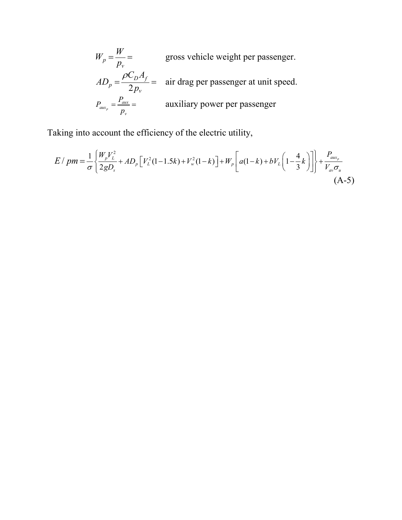$$
W_p = \frac{W}{p_v} =
$$
 gross vehicle weight per passenger.  
\n
$$
AD_p = \frac{\rho C_D A_f}{2p_v} =
$$
 air drag per passenger at unit speed.  
\n
$$
P_{aux_p} = \frac{P_{aux}}{p_v} =
$$
auxiliary power per passenger

Taking into account the efficiency of the electric utility,

$$
E / pm = \frac{1}{\sigma} \left\{ \frac{W_p V_L^2}{2gD_s} + AD_p \left[ V_L^2 (1 - 1.5k) + V_w^2 (1 - k) \right] + W_p \left[ a(1 - k) + bV_L \left( 1 - \frac{4}{3} k \right) \right] \right\} + \frac{P_{aux_p}}{V_{av} \sigma_u}
$$
\n(A-5)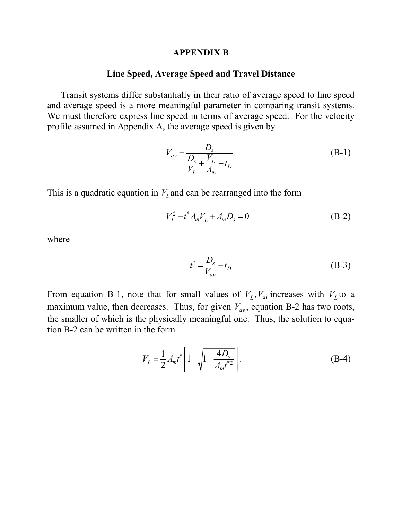### APPENDIX B

## Line Speed, Average Speed and Travel Distance

 Transit systems differ substantially in their ratio of average speed to line speed and average speed is a more meaningful parameter in comparing transit systems. We must therefore express line speed in terms of average speed. For the velocity profile assumed in Appendix A, the average speed is given by

$$
V_{av} = \frac{D_s}{\frac{D_s}{V_L} + \frac{V_L}{A_m} + t_D}.
$$
 (B-1)

This is a quadratic equation in  $V<sub>L</sub>$  and can be rearranged into the form

$$
V_L^2 - t^* A_m V_L + A_m D_s = 0 \tag{B-2}
$$

where

$$
t^* = \frac{D_s}{V_{av}} - t_D \tag{B-3}
$$

From equation B-1, note that for small values of  $V_L$ ,  $V_{av}$  increases with  $V_L$  to a maximum value, then decreases. Thus, for given  $V_{av}$ , equation B-2 has two roots, the smaller of which is the physically meaningful one. Thus, the solution to equation B-2 can be written in the form

$$
V_L = \frac{1}{2} A_m t^* \left[ 1 - \sqrt{1 - \frac{4D_s}{A_m t^{*2}}} \right].
$$
 (B-4)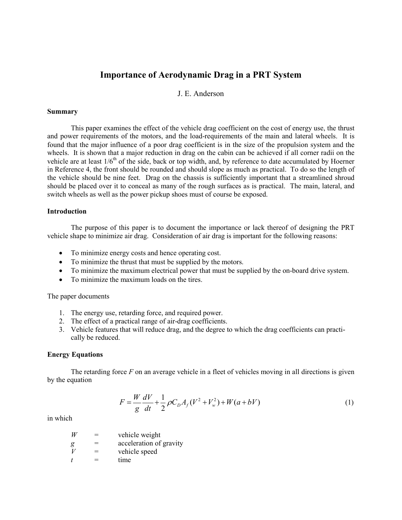## Importance of Aerodynamic Drag in a PRT System

### J. E. Anderson

#### Summary

 This paper examines the effect of the vehicle drag coefficient on the cost of energy use, the thrust and power requirements of the motors, and the load-requirements of the main and lateral wheels. It is found that the major influence of a poor drag coefficient is in the size of the propulsion system and the wheels. It is shown that a major reduction in drag on the cabin can be achieved if all corner radii on the vehicle are at least  $1/6<sup>th</sup>$  of the side, back or top width, and, by reference to date accumulated by Hoerner in Reference 4, the front should be rounded and should slope as much as practical. To do so the length of the vehicle should be nine feet. Drag on the chassis is sufficiently important that a streamlined shroud should be placed over it to conceal as many of the rough surfaces as is practical. The main, lateral, and switch wheels as well as the power pickup shoes must of course be exposed.

#### Introduction

 The purpose of this paper is to document the importance or lack thereof of designing the PRT vehicle shape to minimize air drag. Consideration of air drag is important for the following reasons:

- To minimize energy costs and hence operating cost.
- To minimize the thrust that must be supplied by the motors.
- To minimize the maximum electrical power that must be supplied by the on-board drive system.
- To minimize the maximum loads on the tires.

The paper documents

- 1. The energy use, retarding force, and required power.
- 2. The effect of a practical range of air-drag coefficients.
- 3. Vehicle features that will reduce drag, and the degree to which the drag coefficients can practically be reduced.

### Energy Equations

The retarding force  $F$  on an average vehicle in a fleet of vehicles moving in all directions is given by the equation

$$
F = \frac{W}{g} \frac{dV}{dt} + \frac{1}{2} \rho C_D A_f (V^2 + V_w^2) + W(a + bV)
$$
 (1)

in which

 $W =$  vehicle weight  $g = \text{acceleration of gravity}$ <br>  $V = \text{vehicle speed}$  $=$  vehicle speed  $t =$  time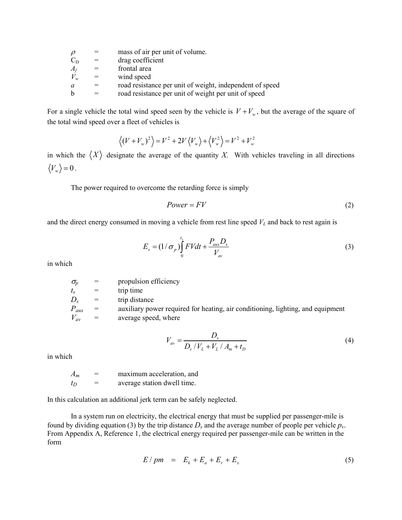|             |     | mass of air per unit of volume.                          |
|-------------|-----|----------------------------------------------------------|
| $C_{\rm D}$ | $=$ | drag coefficient                                         |
| $A_f$       | $=$ | frontal area                                             |
| $V_w$       | $=$ | wind speed                                               |
| a           |     | road resistance per unit of weight, independent of speed |
|             |     | road resistance per unit of weight per unit of speed     |
|             |     |                                                          |

For a single vehicle the total wind speed seen by the vehicle is  $V + V_w$ , but the average of the square of the total wind speed over a fleet of vehicles is

$$
\langle (V + V_w)^2 \rangle = V^2 + 2V \langle V_w \rangle + \langle V_w^2 \rangle = V^2 + V_w^2
$$

in which the  $\langle X \rangle$  designate the average of the quantity X. With vehicles traveling in all directions  $\langle V_w \rangle = 0$ .

The power required to overcome the retarding force is simply

$$
Power = FV \tag{2}
$$

and the direct energy consumed in moving a vehicle from rest line speed  $V<sub>L</sub>$  and back to rest again is

$$
E_s = \left(1/\sigma_p\right)\int_0^{t_s} FVdt + \frac{P_{aux}D_s}{V_{av}}
$$
\n(3)

in which

| propulsion efficiency<br>$\sigma_{\!v}$                                                             |  |
|-----------------------------------------------------------------------------------------------------|--|
| trip time<br>$=$<br>$l_{S}$                                                                         |  |
| trip distance<br>$D_{s}$<br>$=$                                                                     |  |
| $P_{aux}$<br>auxiliary power required for heating, air conditioning, lighting, and equipment<br>$=$ |  |
| $V_{av}$<br>average speed, where<br>$=$                                                             |  |

$$
V_{av} = \frac{D_s}{D_s / V_L + V_L / A_m + t_D}
$$
(4)

in which

| $A_m$ | $=$ | maximum acceleration, and   |
|-------|-----|-----------------------------|
| $t_D$ | $=$ | average station dwell time. |

In this calculation an additional jerk term can be safely neglected.

 In a system run on electricity, the electrical energy that must be supplied per passenger-mile is found by dividing equation (3) by the trip distance  $D_s$  and the average number of people per vehicle  $p_v$ . From Appendix A, Reference 1, the electrical energy required per passenger-mile can be written in the form

$$
E/pm = Ek + Ea + Er + Ex
$$
 (5)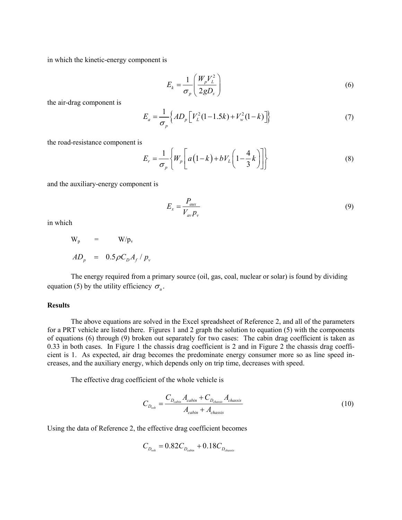in which the kinetic-energy component is

$$
E_k = \frac{1}{\sigma_p} \left( \frac{W_p V_L^2}{2g D_s} \right) \tag{6}
$$

the air-drag component is

$$
E_a = \frac{1}{\sigma_p} \Big\{ AD_p \Big[ V_L^2 (1 - 1.5k) + V_w^2 (1 - k) \Big] \Big\}
$$
 (7)

the road-resistance component is

$$
E_r = \frac{1}{\sigma_p} \left\{ W_p \left[ a \left( 1 - k \right) + b V_L \left( 1 - \frac{4}{3} k \right) \right] \right\}
$$
 (8)

and the auxiliary-energy component is

$$
E_x = \frac{P_{aux}}{V_{av} p_v} \tag{9}
$$

in which

$$
W_{p} = W/p_{v}
$$
  

$$
AD_{p} = 0.5 \rho C_{D} A_{f} / p_{v}
$$

 The energy required from a primary source (oil, gas, coal, nuclear or solar) is found by dividing equation (5) by the utility efficiency  $\sigma_{\mu}$ .

### **Results**

 The above equations are solved in the Excel spreadsheet of Reference 2, and all of the parameters for a PRT vehicle are listed there. Figures 1 and 2 graph the solution to equation (5) with the components of equations (6) through (9) broken out separately for two cases: The cabin drag coefficient is taken as 0.33 in both cases. In Figure 1 the chassis drag coefficient is 2 and in Figure 2 the chassis drag coefficient is 1. As expected, air drag becomes the predominate energy consumer more so as line speed increases, and the auxiliary energy, which depends only on trip time, decreases with speed.

The effective drag coefficient of the whole vehicle is

$$
C_{D_{\text{veh}}} = \frac{C_{D_{\text{cabin}}} A_{\text{cabin}} + C_{D_{\text{chassis}}} A_{\text{chassis}}}{A_{\text{cabin}} + A_{\text{chassis}}}
$$
(10)

Using the data of Reference 2, the effective drag coefficient becomes

$$
C_{D_{veh}}=0.82C_{D_{calin}}+0.18C_{D_{chassis}}
$$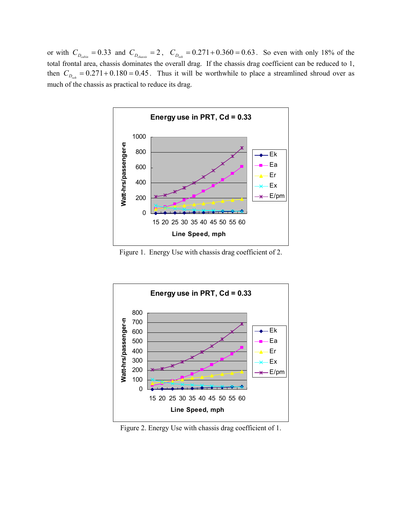or with  $C_{D_{\text{cabin}}} = 0.33$  and  $C_{D_{\text{classis}}} = 2$ ,  $C_{D_{\text{veh}}} = 0.271 + 0.360 = 0.63$ . So even with only 18% of the total frontal area, chassis dominates the overall drag. If the chassis drag coefficient can be reduced to 1, then  $C_{D_{veh}} = 0.271 + 0.180 = 0.45$ . Thus it will be worthwhile to place a streamlined shroud over as much of the chassis as practical to reduce its drag.



Figure 1. Energy Use with chassis drag coefficient of 2.



Figure 2. Energy Use with chassis drag coefficient of 1.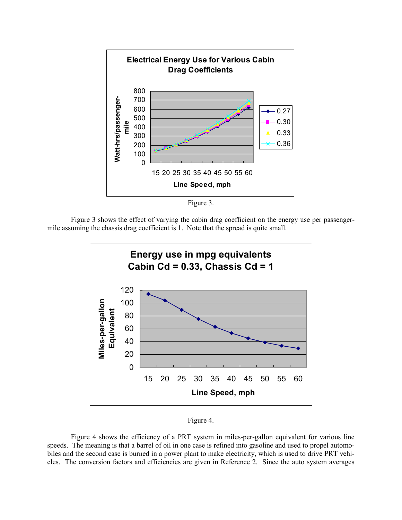

Figure 3.

 Figure 3 shows the effect of varying the cabin drag coefficient on the energy use per passengermile assuming the chassis drag coefficient is 1. Note that the spread is quite small.



Figure 4.

 Figure 4 shows the efficiency of a PRT system in miles-per-gallon equivalent for various line speeds. The meaning is that a barrel of oil in one case is refined into gasoline and used to propel automobiles and the second case is burned in a power plant to make electricity, which is used to drive PRT vehicles. The conversion factors and efficiencies are given in Reference 2. Since the auto system averages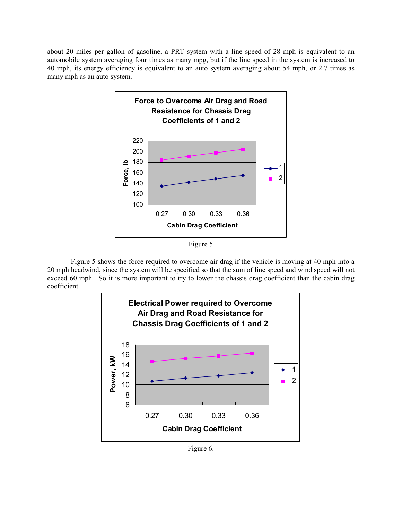about 20 miles per gallon of gasoline, a PRT system with a line speed of 28 mph is equivalent to an automobile system averaging four times as many mpg, but if the line speed in the system is increased to 40 mph, its energy efficiency is equivalent to an auto system averaging about 54 mph, or 2.7 times as many mph as an auto system.



Figure 5

 Figure 5 shows the force required to overcome air drag if the vehicle is moving at 40 mph into a 20 mph headwind, since the system will be specified so that the sum of line speed and wind speed will not exceed 60 mph. So it is more important to try to lower the chassis drag coefficient than the cabin drag coefficient.



Figure 6.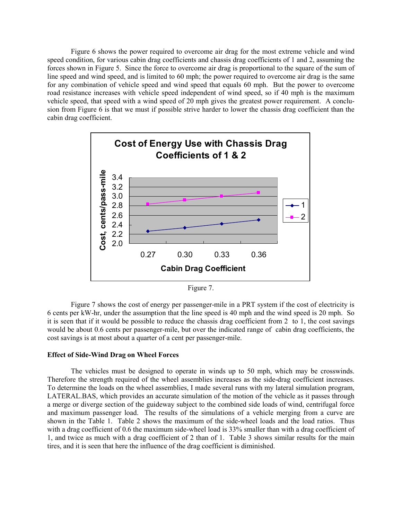Figure 6 shows the power required to overcome air drag for the most extreme vehicle and wind speed condition, for various cabin drag coefficients and chassis drag coefficients of 1 and 2, assuming the forces shown in Figure 5. Since the force to overcome air drag is proportional to the square of the sum of line speed and wind speed, and is limited to 60 mph; the power required to overcome air drag is the same for any combination of vehicle speed and wind speed that equals 60 mph. But the power to overcome road resistance increases with vehicle speed independent of wind speed, so if 40 mph is the maximum vehicle speed, that speed with a wind speed of 20 mph gives the greatest power requirement. A conclusion from Figure 6 is that we must if possible strive harder to lower the chassis drag coefficient than the cabin drag coefficient.



Figure 7.

 Figure 7 shows the cost of energy per passenger-mile in a PRT system if the cost of electricity is 6 cents per kW-hr, under the assumption that the line speed is 40 mph and the wind speed is 20 mph. So it is seen that if it would be possible to reduce the chassis drag coefficient from 2 to 1, the cost savings would be about 0.6 cents per passenger-mile, but over the indicated range of cabin drag coefficients, the cost savings is at most about a quarter of a cent per passenger-mile.

#### Effect of Side-Wind Drag on Wheel Forces

The vehicles must be designed to operate in winds up to 50 mph, which may be crosswinds. Therefore the strength required of the wheel assemblies increases as the side-drag coefficient increases. To determine the loads on the wheel assemblies, I made several runs with my lateral simulation program, LATERAL.BAS, which provides an accurate simulation of the motion of the vehicle as it passes through a merge or diverge section of the guideway subject to the combined side loads of wind, centrifugal force and maximum passenger load. The results of the simulations of a vehicle merging from a curve are shown in the Table 1. Table 2 shows the maximum of the side-wheel loads and the load ratios. Thus with a drag coefficient of 0.6 the maximum side-wheel load is 33% smaller than with a drag coefficient of 1, and twice as much with a drag coefficient of 2 than of 1. Table 3 shows similar results for the main tires, and it is seen that here the influence of the drag coefficient is diminished.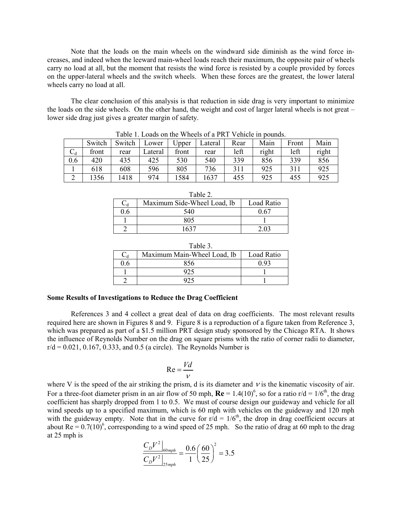Note that the loads on the main wheels on the windward side diminish as the wind force increases, and indeed when the leeward main-wheel loads reach their maximum, the opposite pair of wheels carry no load at all, but the moment that resists the wind force is resisted by a couple provided by forces on the upper-lateral wheels and the switch wheels. When these forces are the greatest, the lower lateral wheels carry no load at all.

 The clear conclusion of this analysis is that reduction in side drag is very important to minimize the loads on the side wheels. On the other hand, the weight and cost of larger lateral wheels is not great – lower side drag just gives a greater margin of safety.

|     | Switch | Switch | Lower   | Jpper | ∟ateral | Rear | Main  | Front | Main  |
|-----|--------|--------|---------|-------|---------|------|-------|-------|-------|
| ◡₫  | front  | rear   | ∟ateral | front | rear    | left | right | left  | right |
| 0.6 | 420    | 435    | 425     | 530   | 540     | 339  | 856   | 339   | 856   |
|     | 618    | 608    | 596     | 805   | 736     |      | 925   | 311   | 925   |
|     | 356    | 1418   | 974     | 584   | 1637    | 455  | 925   | 455   | 925   |

Table 1. Loads on the Wheels of a PRT Vehicle in pounds.

| Table 2. |                             |            |  |  |  |
|----------|-----------------------------|------------|--|--|--|
|          | Maximum Side-Wheel Load, lb | Load Ratio |  |  |  |
| 0.6      | 540                         |            |  |  |  |
|          | 805                         |            |  |  |  |
|          | 1637                        |            |  |  |  |

| Table 3. |                             |            |  |  |  |
|----------|-----------------------------|------------|--|--|--|
|          | Maximum Main-Wheel Load, lb | Load Ratio |  |  |  |
| 6 (      | 856                         |            |  |  |  |
|          |                             |            |  |  |  |
|          |                             |            |  |  |  |

#### Some Results of Investigations to Reduce the Drag Coefficient

 References 3 and 4 collect a great deal of data on drag coefficients. The most relevant results required here are shown in Figures 8 and 9. Figure 8 is a reproduction of a figure taken from Reference 3, which was prepared as part of a \$1.5 million PRT design study sponsored by the Chicago RTA. It shows the influence of Reynolds Number on the drag on square prisms with the ratio of corner radii to diameter,  $r/d = 0.021, 0.167, 0.333,$  and 0.5 (a circle). The Reynolds Number is

$$
\text{Re} = \frac{Vd}{V}
$$

where V is the speed of the air striking the prism, d is its diameter and  $V$  is the kinematic viscosity of air. For a three-foot diameter prism in an air flow of 50 mph,  $Re = 1.4(10)^6$ , so for a ratio r/d = 1/6<sup>th</sup>, the drag coefficient has sharply dropped from 1 to 0.5. We must of course design our guideway and vehicle for all wind speeds up to a specified maximum, which is 60 mph with vehicles on the guideway and 120 mph with the guideway empty. Note that in the curve for  $r/d = 1/6<sup>th</sup>$ , the drop in drag coefficient occurs at about Re =  $0.7(10)^6$ , corresponding to a wind speed of 25 mph. So the ratio of drag at 60 mph to the drag at 25 mph is

$$
\frac{C_D V^2}{C_D V^2}_{25 \, mph} = \frac{0.6}{1} \left(\frac{60}{25}\right)^2 = 3.5
$$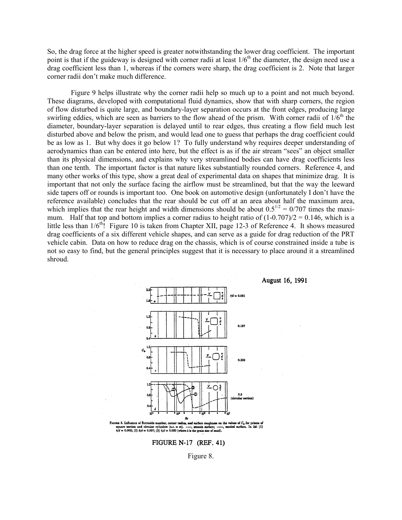So, the drag force at the higher speed is greater notwithstanding the lower drag coefficient. The important point is that if the guideway is designed with corner radii at least 1/6<sup>th</sup> the diameter, the design need use a drag coefficient less than 1, whereas if the corners were sharp, the drag coefficient is 2. Note that larger corner radii don't make much difference.

 Figure 9 helps illustrate why the corner radii help so much up to a point and not much beyond. These diagrams, developed with computational fluid dynamics, show that with sharp corners, the region of flow disturbed is quite large, and boundary-layer separation occurs at the front edges, producing large swirling eddies, which are seen as barriers to the flow ahead of the prism. With corner radii of  $1/6<sup>th</sup>$  the diameter, boundary-layer separation is delayed until to rear edges, thus creating a flow field much lest disturbed above and below the prism, and would lead one to guess that perhaps the drag coefficient could be as low as 1. But why does it go below 1? To fully understand why requires deeper understanding of aerodynamics than can be entered into here, but the effect is as if the air stream "sees" an object smaller than its physical dimensions, and explains why very streamlined bodies can have drag coefficients less than one tenth. The important factor is that nature likes substantially rounded corners. Reference 4, and many other works of this type, show a great deal of experimental data on shapes that minimize drag. It is important that not only the surface facing the airflow must be streamlined, but that the way the leeward side tapers off or rounds is important too. One book on automotive design (unfortunately I don't have the reference available) concludes that the rear should be cut off at an area about half the maximum area, which implies that the rear height and width dimensions should be about  $0.5^{1/2} = 0/707$  times the maximum. Half that top and bottom implies a corner radius to height ratio of  $(1-0.707)/2 = 0.146$ , which is a little less than  $1/6^{th}$ ! Figure 10 is taken from Chapter XII, page 12-3 of Reference 4. It shows measured drag coefficients of a six different vehicle shapes, and can serve as a guide for drag reduction of the PRT vehicle cabin. Data on how to reduce drag on the chassis, which is of course constrained inside a tube is not so easy to find, but the general principles suggest that it is necessary to place around it a streamlined shroud.



August 16, 1991





Figure 8.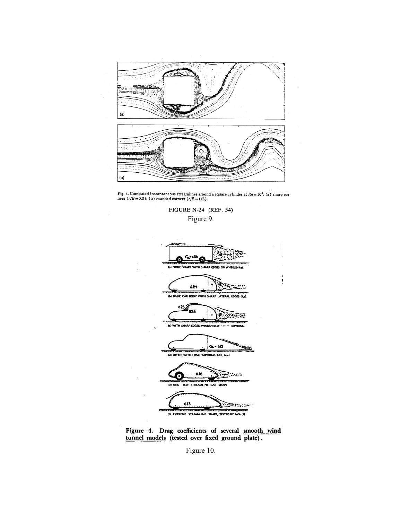

Fig. 4. Computed instantaneous streamlines around a square cylinder at  $Re = 10^5$ : (a) sharp corners  $(r/B = 0.0)$ ; (b) rounded corners  $(r/B = 1/6)$ .

FIGURE N-24 (REF. 54) Figure 9.





Figure 10.